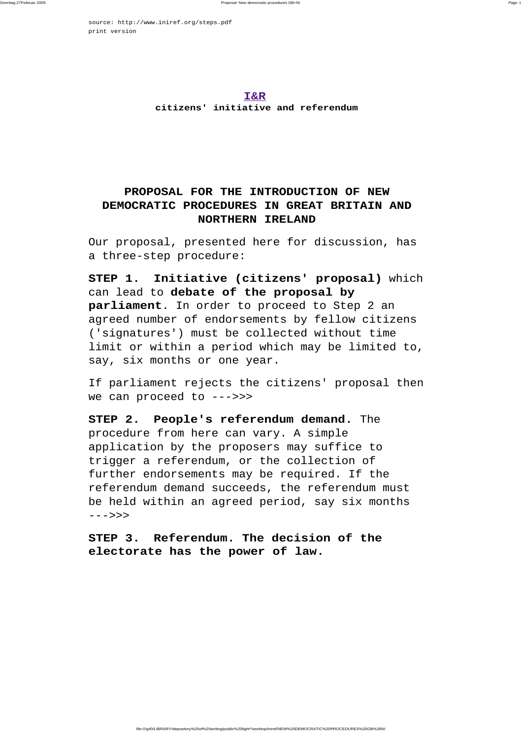source:<http://www.iniref.org/steps.pdf> print version

> **I&R citizens' initiative and referendum**

## **PROPOSAL FOR THE INTRODUCTION OF NEW DEMOCRATIC PROCEDURES IN GREAT BRITAIN AND NORTHERN IRELAND**

Our proposal, presented here for discussion, has a three-step procedure:

**STEP 1. Initiative (citizens' proposal)** which can lead to **debate of the proposal by parliament**. In order to proceed to Step 2 an agreed number of endorsements by fellow citizens ('signatures') must be collected without time limit or within a period which may be limited to, say, six months or one year.

If parliament rejects the citizens' proposal then we can proceed to --->>>

**STEP 2. People's referendum demand.** The procedure from here can vary. A simple application by the proposers may suffice to trigger a referendum, or the collection of further endorsements may be required. If the referendum demand succeeds, the referendum must be held within an agreed period, say six months --->>>

**STEP 3. Referendum. The decision of the electorate has the power of law.**